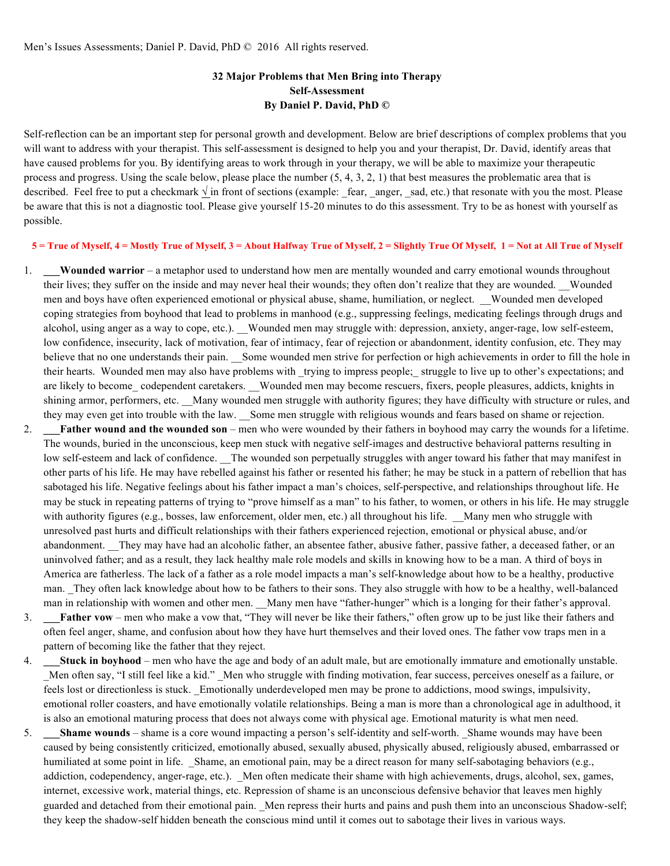# **32 Major Problems that Men Bring into Therapy Self-Assessment By Daniel P. David, PhD ©**

Self-reflection can be an important step for personal growth and development. Below are brief descriptions of complex problems that you will want to address with your therapist. This self-assessment is designed to help you and your therapist, Dr. David, identify areas that have caused problems for you. By identifying areas to work through in your therapy, we will be able to maximize your therapeutic process and progress. Using the scale below, please place the number  $(5, 4, 3, 2, 1)$  that best measures the problematic area that is described. Feel free to put a checkmark  $\sqrt{\ }$  in front of sections (example: \_fear, \_anger, \_sad, etc.) that resonate with you the most. Please be aware that this is not a diagnostic tool. Please give yourself 15-20 minutes to do this assessment. Try to be as honest with yourself as possible.

**5 = True of Myself, 4 = Mostly True of Myself, 3 = About Halfway True of Myself, 2 = Slightly True Of Myself, 1 = Not at All True of Myself**

- 1. **\_\_\_Wounded warrior** a metaphor used to understand how men are mentally wounded and carry emotional wounds throughout their lives; they suffer on the inside and may never heal their wounds; they often don't realize that they are wounded. Wounded men and boys have often experienced emotional or physical abuse, shame, humiliation, or neglect. \_\_Wounded men developed coping strategies from boyhood that lead to problems in manhood (e.g., suppressing feelings, medicating feelings through drugs and alcohol, using anger as a way to cope, etc.). Wounded men may struggle with: depression, anxiety, anger-rage, low self-esteem, low confidence, insecurity, lack of motivation, fear of intimacy, fear of rejection or abandonment, identity confusion, etc. They may believe that no one understands their pain. Some wounded men strive for perfection or high achievements in order to fill the hole in their hearts. Wounded men may also have problems with \_trying to impress people;\_ struggle to live up to other's expectations; and are likely to become codependent caretakers. Wounded men may become rescuers, fixers, people pleasures, addicts, knights in shining armor, performers, etc. \_\_Many wounded men struggle with authority figures; they have difficulty with structure or rules, and they may even get into trouble with the law. Some men struggle with religious wounds and fears based on shame or rejection.
- 2. **\_\_\_Father wound and the wounded son** men who were wounded by their fathers in boyhood may carry the wounds for a lifetime. The wounds, buried in the unconscious, keep men stuck with negative self-images and destructive behavioral patterns resulting in low self-esteem and lack of confidence. The wounded son perpetually struggles with anger toward his father that may manifest in other parts of his life. He may have rebelled against his father or resented his father; he may be stuck in a pattern of rebellion that has sabotaged his life. Negative feelings about his father impact a man's choices, self-perspective, and relationships throughout life. He may be stuck in repeating patterns of trying to "prove himself as a man" to his father, to women, or others in his life. He may struggle with authority figures (e.g., bosses, law enforcement, older men, etc.) all throughout his life. Many men who struggle with unresolved past hurts and difficult relationships with their fathers experienced rejection, emotional or physical abuse, and/or abandonment. They may have had an alcoholic father, an absentee father, abusive father, passive father, a deceased father, or an uninvolved father; and as a result, they lack healthy male role models and skills in knowing how to be a man. A third of boys in America are fatherless. The lack of a father as a role model impacts a man's self-knowledge about how to be a healthy, productive man. They often lack knowledge about how to be fathers to their sons. They also struggle with how to be a healthy, well-balanced man in relationship with women and other men. Many men have "father-hunger" which is a longing for their father's approval.
- 3. **\_\_\_Father vow** men who make a vow that, "They will never be like their fathers," often grow up to be just like their fathers and often feel anger, shame, and confusion about how they have hurt themselves and their loved ones. The father vow traps men in a pattern of becoming like the father that they reject.
- 4. **\_\_\_Stuck in boyhood** men who have the age and body of an adult male, but are emotionally immature and emotionally unstable. Men often say, "I still feel like a kid." Men who struggle with finding motivation, fear success, perceives oneself as a failure, or feels lost or directionless is stuck. \_Emotionally underdeveloped men may be prone to addictions, mood swings, impulsivity, emotional roller coasters, and have emotionally volatile relationships. Being a man is more than a chronological age in adulthood, it is also an emotional maturing process that does not always come with physical age. Emotional maturity is what men need.
- 5. **Shame wounds** shame is a core wound impacting a person's self-identity and self-worth. Shame wounds may have been caused by being consistently criticized, emotionally abused, sexually abused, physically abused, religiously abused, embarrassed or humiliated at some point in life. Shame, an emotional pain, may be a direct reason for many self-sabotaging behaviors (e.g., addiction, codependency, anger-rage, etc.). \_Men often medicate their shame with high achievements, drugs, alcohol, sex, games, internet, excessive work, material things, etc. Repression of shame is an unconscious defensive behavior that leaves men highly guarded and detached from their emotional pain. \_Men repress their hurts and pains and push them into an unconscious Shadow-self; they keep the shadow-self hidden beneath the conscious mind until it comes out to sabotage their lives in various ways.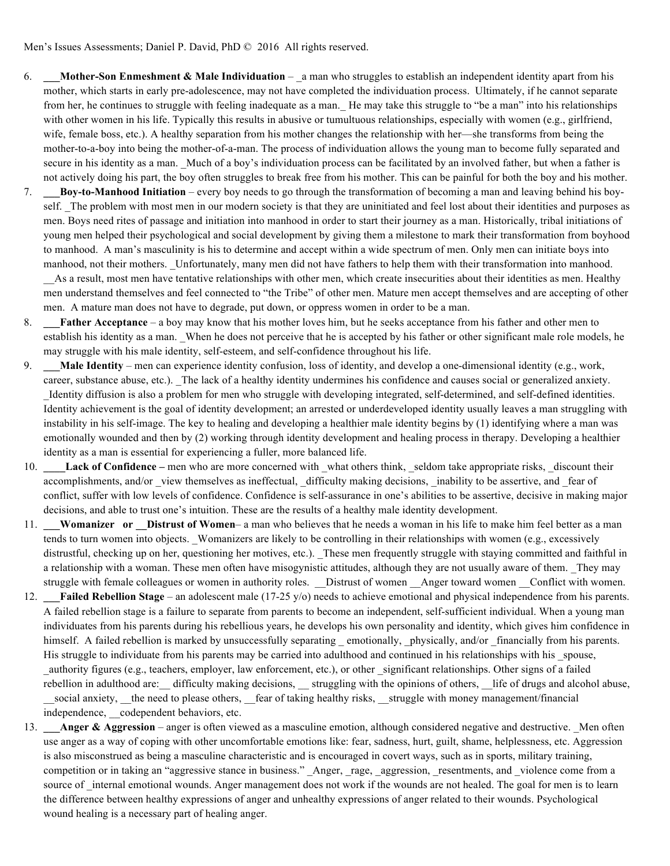- 6. **\_\_\_Mother-Son Enmeshment & Male Individuation**  \_a man who struggles to establish an independent identity apart from his mother, which starts in early pre-adolescence, may not have completed the individuation process. Ultimately, if he cannot separate from her, he continues to struggle with feeling inadequate as a man.\_ He may take this struggle to "be a man" into his relationships with other women in his life. Typically this results in abusive or tumultuous relationships, especially with women (e.g., girlfriend, wife, female boss, etc.). A healthy separation from his mother changes the relationship with her—she transforms from being the mother-to-a-boy into being the mother-of-a-man. The process of individuation allows the young man to become fully separated and secure in his identity as a man. Much of a boy's individuation process can be facilitated by an involved father, but when a father is not actively doing his part, the boy often struggles to break free from his mother. This can be painful for both the boy and his mother.
- 7. **\_\_\_Boy-to-Manhood Initiation** every boy needs to go through the transformation of becoming a man and leaving behind his boyself. The problem with most men in our modern society is that they are uninitiated and feel lost about their identities and purposes as men. Boys need rites of passage and initiation into manhood in order to start their journey as a man. Historically, tribal initiations of young men helped their psychological and social development by giving them a milestone to mark their transformation from boyhood to manhood. A man's masculinity is his to determine and accept within a wide spectrum of men. Only men can initiate boys into manhood, not their mothers. \_Unfortunately, many men did not have fathers to help them with their transformation into manhood. \_\_As a result, most men have tentative relationships with other men, which create insecurities about their identities as men. Healthy men understand themselves and feel connected to "the Tribe" of other men. Mature men accept themselves and are accepting of other men. A mature man does not have to degrade, put down, or oppress women in order to be a man.
- 8. **\_\_\_Father Acceptance** a boy may know that his mother loves him, but he seeks acceptance from his father and other men to establish his identity as a man. When he does not perceive that he is accepted by his father or other significant male role models, he may struggle with his male identity, self-esteem, and self-confidence throughout his life.
- 9. Male Identity men can experience identity confusion, loss of identity, and develop a one-dimensional identity (e.g., work, career, substance abuse, etc.). \_The lack of a healthy identity undermines his confidence and causes social or generalized anxiety. \_Identity diffusion is also a problem for men who struggle with developing integrated, self-determined, and self-defined identities. Identity achievement is the goal of identity development; an arrested or underdeveloped identity usually leaves a man struggling with instability in his self-image. The key to healing and developing a healthier male identity begins by (1) identifying where a man was emotionally wounded and then by (2) working through identity development and healing process in therapy. Developing a healthier identity as a man is essential for experiencing a fuller, more balanced life.
- 10. **Lack of Confidence –** men who are more concerned with what others think, seldom take appropriate risks, discount their accomplishments, and/or view themselves as ineffectual, difficulty making decisions, inability to be assertive, and fear of conflict, suffer with low levels of confidence. Confidence is self-assurance in one's abilities to be assertive, decisive in making major decisions, and able to trust one's intuition. These are the results of a healthy male identity development.
- 11. **\_\_\_Womanizer or \_\_Distrust of Women** a man who believes that he needs a woman in his life to make him feel better as a man tends to turn women into objects. \_Womanizers are likely to be controlling in their relationships with women (e.g., excessively distrustful, checking up on her, questioning her motives, etc.). These men frequently struggle with staying committed and faithful in a relationship with a woman. These men often have misogynistic attitudes, although they are not usually aware of them. They may struggle with female colleagues or women in authority roles. Distrust of women Anger toward women Conflict with women.
- 12. **\_\_\_Failed Rebellion Stage** an adolescent male (17-25 y/o) needs to achieve emotional and physical independence from his parents. A failed rebellion stage is a failure to separate from parents to become an independent, self-sufficient individual. When a young man individuates from his parents during his rebellious years, he develops his own personality and identity, which gives him confidence in himself. A failed rebellion is marked by unsuccessfully separating emotionally, physically, and/or financially from his parents. His struggle to individuate from his parents may be carried into adulthood and continued in his relationships with his spouse, \_authority figures (e.g., teachers, employer, law enforcement, etc.), or other \_significant relationships. Other signs of a failed rebellion in adulthood are: difficulty making decisions, struggling with the opinions of others, life of drugs and alcohol abuse, social anxiety, \_\_the need to please others, \_\_fear of taking healthy risks, \_\_struggle with money management/financial independence, codependent behaviors, etc.
- 13. **Anger & Aggression** anger is often viewed as a masculine emotion, although considered negative and destructive. Men often use anger as a way of coping with other uncomfortable emotions like: fear, sadness, hurt, guilt, shame, helplessness, etc. Aggression is also misconstrued as being a masculine characteristic and is encouraged in covert ways, such as in sports, military training, competition or in taking an "aggressive stance in business." Anger, rage, aggression, resentments, and violence come from a source of internal emotional wounds. Anger management does not work if the wounds are not healed. The goal for men is to learn the difference between healthy expressions of anger and unhealthy expressions of anger related to their wounds. Psychological wound healing is a necessary part of healing anger.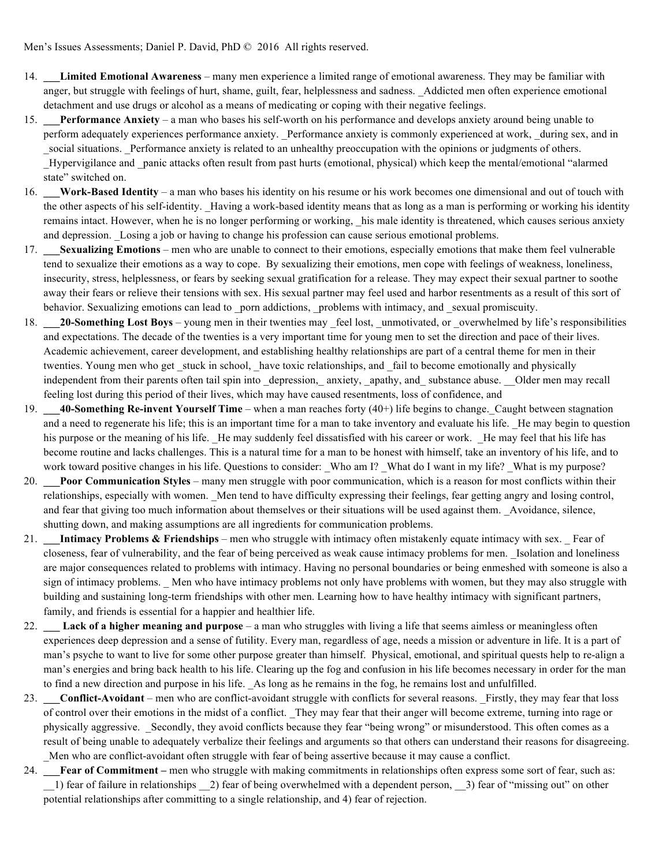- 14. **\_\_\_Limited Emotional Awareness** many men experience a limited range of emotional awareness. They may be familiar with anger, but struggle with feelings of hurt, shame, guilt, fear, helplessness and sadness. \_Addicted men often experience emotional detachment and use drugs or alcohol as a means of medicating or coping with their negative feelings.
- 15. **\_\_\_Performance Anxiety** a man who bases his self-worth on his performance and develops anxiety around being unable to perform adequately experiences performance anxiety. Performance anxiety is commonly experienced at work, during sex, and in social situations. Performance anxiety is related to an unhealthy preoccupation with the opinions or judgments of others. Hypervigilance and panic attacks often result from past hurts (emotional, physical) which keep the mental/emotional "alarmed state" switched on.
- 16. **\_\_\_Work-Based Identity** a man who bases his identity on his resume or his work becomes one dimensional and out of touch with the other aspects of his self-identity. Having a work-based identity means that as long as a man is performing or working his identity remains intact. However, when he is no longer performing or working, his male identity is threatened, which causes serious anxiety and depression. Losing a job or having to change his profession can cause serious emotional problems.
- 17. **\_\_\_Sexualizing Emotions** men who are unable to connect to their emotions, especially emotions that make them feel vulnerable tend to sexualize their emotions as a way to cope. By sexualizing their emotions, men cope with feelings of weakness, loneliness, insecurity, stress, helplessness, or fears by seeking sexual gratification for a release. They may expect their sexual partner to soothe away their fears or relieve their tensions with sex. His sexual partner may feel used and harbor resentments as a result of this sort of behavior. Sexualizing emotions can lead to \_porn addictions, \_problems with intimacy, and \_sexual promiscuity.
- 18. **20-Something Lost Boys** young men in their twenties may feel lost, unmotivated, or overwhelmed by life's responsibilities and expectations. The decade of the twenties is a very important time for young men to set the direction and pace of their lives. Academic achievement, career development, and establishing healthy relationships are part of a central theme for men in their twenties. Young men who get stuck in school, have toxic relationships, and fail to become emotionally and physically independent from their parents often tail spin into depression, anxiety, apathy, and substance abuse. Older men may recall feeling lost during this period of their lives, which may have caused resentments, loss of confidence, and
- 19. **\_\_\_40-Something Re-invent Yourself Time** when a man reaches forty (40+) life begins to change.\_Caught between stagnation and a need to regenerate his life; this is an important time for a man to take inventory and evaluate his life. He may begin to question his purpose or the meaning of his life. He may suddenly feel dissatisfied with his career or work. He may feel that his life has become routine and lacks challenges. This is a natural time for a man to be honest with himself, take an inventory of his life, and to work toward positive changes in his life. Questions to consider: Who am I? What do I want in my life? What is my purpose?
- 20. **\_\_\_Poor Communication Styles**  many men struggle with poor communication, which is a reason for most conflicts within their relationships, especially with women. Men tend to have difficulty expressing their feelings, fear getting angry and losing control, and fear that giving too much information about themselves or their situations will be used against them. Avoidance, silence, shutting down, and making assumptions are all ingredients for communication problems.
- 21. **Intimacy Problems & Friendships** men who struggle with intimacy often mistakenly equate intimacy with sex. Fear of closeness, fear of vulnerability, and the fear of being perceived as weak cause intimacy problems for men. \_Isolation and loneliness are major consequences related to problems with intimacy. Having no personal boundaries or being enmeshed with someone is also a sign of intimacy problems. Men who have intimacy problems not only have problems with women, but they may also struggle with building and sustaining long-term friendships with other men. Learning how to have healthy intimacy with significant partners, family, and friends is essential for a happier and healthier life.
- 22. **\_\_\_ Lack of a higher meaning and purpose**  a man who struggles with living a life that seems aimless or meaningless often experiences deep depression and a sense of futility. Every man, regardless of age, needs a mission or adventure in life. It is a part of man's psyche to want to live for some other purpose greater than himself. Physical, emotional, and spiritual quests help to re-align a man's energies and bring back health to his life. Clearing up the fog and confusion in his life becomes necessary in order for the man to find a new direction and purpose in his life. As long as he remains in the fog, he remains lost and unfulfilled.
- 23. **\_\_\_Conflict-Avoidant** men who are conflict-avoidant struggle with conflicts for several reasons. \_Firstly, they may fear that loss of control over their emotions in the midst of a conflict. \_They may fear that their anger will become extreme, turning into rage or physically aggressive. \_Secondly, they avoid conflicts because they fear "being wrong" or misunderstood. This often comes as a result of being unable to adequately verbalize their feelings and arguments so that others can understand their reasons for disagreeing. Men who are conflict-avoidant often struggle with fear of being assertive because it may cause a conflict.
- 24. **\_\_\_Fear of Commitment –** men who struggle with making commitments in relationships often express some sort of fear, such as: \_\_1) fear of failure in relationships \_\_2) fear of being overwhelmed with a dependent person, \_\_3) fear of "missing out" on other potential relationships after committing to a single relationship, and 4) fear of rejection.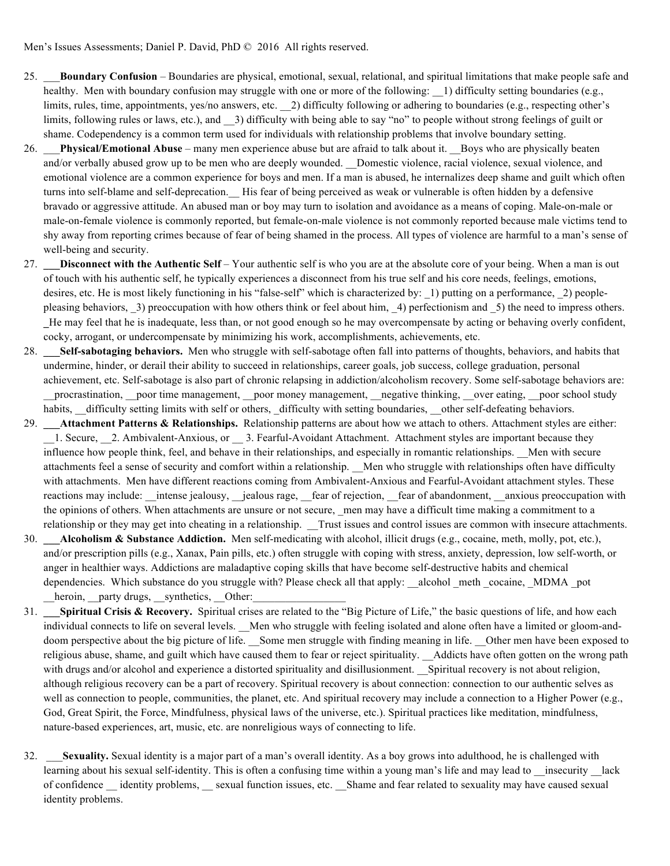- 25. \_\_\_**Boundary Confusion**  Boundaries are physical, emotional, sexual, relational, and spiritual limitations that make people safe and healthy. Men with boundary confusion may struggle with one or more of the following: 1) difficulty setting boundaries (e.g., limits, rules, time, appointments, yes/no answers, etc. \_\_2) difficulty following or adhering to boundaries (e.g., respecting other's limits, following rules or laws, etc.), and  $\alpha$  3) difficulty with being able to say "no" to people without strong feelings of guilt or shame. Codependency is a common term used for individuals with relationship problems that involve boundary setting.
- 26. \_\_\_**Physical/Emotional Abuse** many men experience abuse but are afraid to talk about it. \_\_Boys who are physically beaten and/or verbally abused grow up to be men who are deeply wounded. Domestic violence, racial violence, sexual violence, and emotional violence are a common experience for boys and men. If a man is abused, he internalizes deep shame and guilt which often turns into self-blame and self-deprecation. His fear of being perceived as weak or vulnerable is often hidden by a defensive bravado or aggressive attitude. An abused man or boy may turn to isolation and avoidance as a means of coping. Male-on-male or male-on-female violence is commonly reported, but female-on-male violence is not commonly reported because male victims tend to shy away from reporting crimes because of fear of being shamed in the process. All types of violence are harmful to a man's sense of well-being and security.
- 27. **\_\_\_Disconnect with the Authentic Self**  Your authentic self is who you are at the absolute core of your being. When a man is out of touch with his authentic self, he typically experiences a disconnect from his true self and his core needs, feelings, emotions, desires, etc. He is most likely functioning in his "false-self" which is characterized by: 1) putting on a performance, 2) peoplepleasing behaviors, 3) preoccupation with how others think or feel about him, 4) perfectionism and 5) the need to impress others. **\_**He may feel that he is inadequate, less than, or not good enough so he may overcompensate by acting or behaving overly confident, cocky, arrogant, or undercompensate by minimizing his work, accomplishments, achievements, etc.
- 28. **\_\_\_Self-sabotaging behaviors.** Men who struggle with self-sabotage often fall into patterns of thoughts, behaviors, and habits that undermine, hinder, or derail their ability to succeed in relationships, career goals, job success, college graduation, personal achievement, etc. Self-sabotage is also part of chronic relapsing in addiction/alcoholism recovery. Some self-sabotage behaviors are: procrastination, \_\_poor time management, \_\_poor money management, \_\_negative thinking, \_\_over eating, \_\_poor school study habits, difficulty setting limits with self or others, difficulty with setting boundaries, other self-defeating behaviors.
- 29. **Attachment Patterns & Relationships.** Relationship patterns are about how we attach to others. Attachment styles are either: 1. Secure, 2. Ambivalent-Anxious, or  $\quad$  3. Fearful-Avoidant Attachment. Attachment styles are important because they influence how people think, feel, and behave in their relationships, and especially in romantic relationships. Men with secure attachments feel a sense of security and comfort within a relationship. Men who struggle with relationships often have difficulty with attachments. Men have different reactions coming from Ambivalent-Anxious and Fearful-Avoidant attachment styles. These reactions may include: \_\_intense jealousy, \_\_jealous rage, \_\_fear of rejection, \_\_fear of abandonment, \_\_anxious preoccupation with the opinions of others. When attachments are unsure or not secure, \_men may have a difficult time making a commitment to a relationship or they may get into cheating in a relationship. Trust issues and control issues are common with insecure attachments.
- 30. **\_\_\_Alcoholism & Substance Addiction.** Men self-medicating with alcohol, illicit drugs (e.g., cocaine, meth, molly, pot, etc.), and/or prescription pills (e.g., Xanax, Pain pills, etc.) often struggle with coping with stress, anxiety, depression, low self-worth, or anger in healthier ways. Addictions are maladaptive coping skills that have become self-destructive habits and chemical dependencies. Which substance do you struggle with? Please check all that apply: alcohol meth cocaine, MDMA pot heroin, party drugs, synthetics, Other:
- 31. **\_\_\_Spiritual Crisis & Recovery.** Spiritual crises are related to the "Big Picture of Life," the basic questions of life, and how each individual connects to life on several levels. Men who struggle with feeling isolated and alone often have a limited or gloom-anddoom perspective about the big picture of life. Some men struggle with finding meaning in life. Other men have been exposed to religious abuse, shame, and guilt which have caused them to fear or reject spirituality. Addicts have often gotten on the wrong path with drugs and/or alcohol and experience a distorted spirituality and disillusionment. \_\_Spiritual recovery is not about religion, although religious recovery can be a part of recovery. Spiritual recovery is about connection: connection to our authentic selves as well as connection to people, communities, the planet, etc. And spiritual recovery may include a connection to a Higher Power (e.g., God, Great Spirit, the Force, Mindfulness, physical laws of the universe, etc.). Spiritual practices like meditation, mindfulness, nature-based experiences, art, music, etc. are nonreligious ways of connecting to life.
- 32. \_\_\_**Sexuality.** Sexual identity is a major part of a man's overall identity. As a boy grows into adulthood, he is challenged with learning about his sexual self-identity. This is often a confusing time within a young man's life and may lead to \_\_insecurity \_\_lack of confidence \_\_ identity problems, \_\_ sexual function issues, etc. \_\_Shame and fear related to sexuality may have caused sexual identity problems.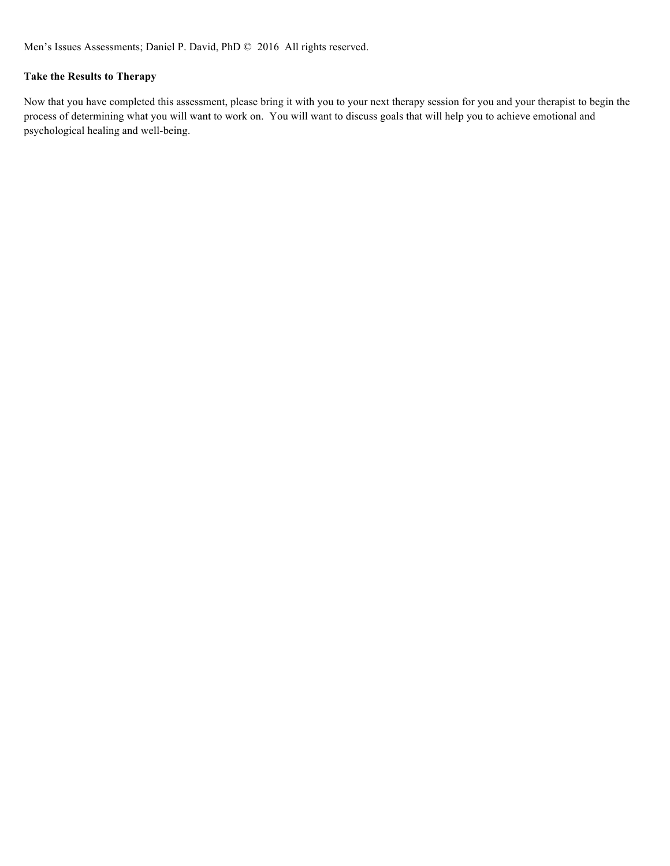# **Take the Results to Therapy**

Now that you have completed this assessment, please bring it with you to your next therapy session for you and your therapist to begin the process of determining what you will want to work on. You will want to discuss goals that will help you to achieve emotional and psychological healing and well-being.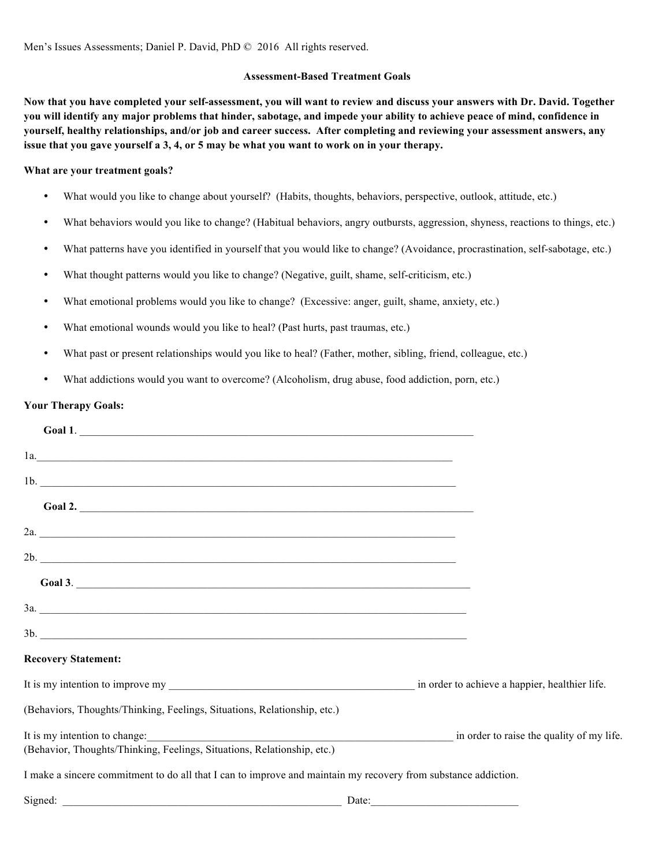# **Assessment-Based Treatment Goals**

**Now that you have completed your self-assessment, you will want to review and discuss your answers with Dr. David. Together you will identify any major problems that hinder, sabotage, and impede your ability to achieve peace of mind, confidence in yourself, healthy relationships, and/or job and career success. After completing and reviewing your assessment answers, any issue that you gave yourself a 3, 4, or 5 may be what you want to work on in your therapy.**

## **What are your treatment goals?**

- What would you like to change about yourself? (Habits, thoughts, behaviors, perspective, outlook, attitude, etc.)
- What behaviors would you like to change? (Habitual behaviors, angry outbursts, aggression, shyness, reactions to things, etc.)
- What patterns have you identified in yourself that you would like to change? (Avoidance, procrastination, self-sabotage, etc.)
- What thought patterns would you like to change? (Negative, guilt, shame, self-criticism, etc.)
- What emotional problems would you like to change? (Excessive: anger, guilt, shame, anxiety, etc.)
- What emotional wounds would you like to heal? (Past hurts, past traumas, etc.)
- What past or present relationships would you like to heal? (Father, mother, sibling, friend, colleague, etc.)
- What addictions would you want to overcome? (Alcoholism, drug abuse, food addiction, porn, etc.)

## **Your Therapy Goals:**

| Goal 1.                                                                                                        |                                           |
|----------------------------------------------------------------------------------------------------------------|-------------------------------------------|
| $1a.$                                                                                                          |                                           |
| 1b.                                                                                                            |                                           |
| Goal 2.                                                                                                        |                                           |
|                                                                                                                |                                           |
| 2b.                                                                                                            |                                           |
| Goal 3.                                                                                                        |                                           |
|                                                                                                                |                                           |
| 3b.                                                                                                            |                                           |
| <b>Recovery Statement:</b>                                                                                     |                                           |
|                                                                                                                |                                           |
| (Behaviors, Thoughts/Thinking, Feelings, Situations, Relationship, etc.)                                       |                                           |
| It is my intention to change:                                                                                  | in order to raise the quality of my life. |
| (Behavior, Thoughts/Thinking, Feelings, Situations, Relationship, etc.)                                        |                                           |
| I make a sincere commitment to do all that I can to improve and maintain my recovery from substance addiction. |                                           |
| Signed: <u>Date:</u> Date:                                                                                     |                                           |